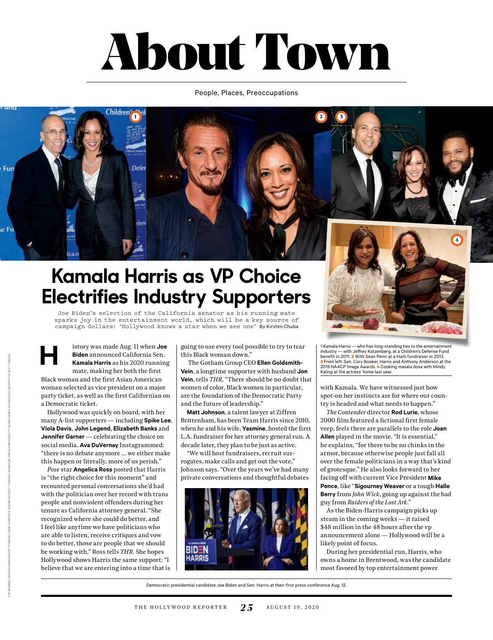# About Town

### People, Places, Preoccupations



## **Kamala Harris as VP Choice Electrifies Industry Supporters**

Joe Biden's selection of the California senator as his running mate sparks joy in the entertainment world, which will be a key source of campaign dollars: 'Hollywood knows a star when we see one' By Kirsten Chuba

**H** istory was made Aug. 11 when **Joe Biden** announced California Sen. **Kamala Harris** as his 2020 running mate, making her both the first Black woman and the first Asian American woman selected as vice president on a major party ticket, as well as the first Californian on a Democratic ticket.

Hollywood was quickly on board, with her many A-list supporters — including **Spike Lee**, **Viola Davis**, **John Legend**, **Elizabeth Banks** and **Jennifer Garner** — celebrating the choice on social media. **Ava DuVernay** Instagrammed: "there is no debate anymore … we either make this happen or literally, more of us perish."

*Pose* star **Angelica Ross** posted that Harris is "the right choice for this moment" and recounted personal conversations she'd had with the politician over her record with trans people and nonviolent offenders during her tenure as California attorney general. "She recognized where she could do better, and I feel like anytime we have politicians who are able to listen, receive critiques and vow to do better, those are people that we should be working with," Ross tells *THR*. She hopes Hollywood shows Harris the same support: "I believe that we are entering into a time that is going to use every tool possible to try to tear this Black woman down."

 The Gotham Group CEO **Ellen Goldsmith-Vein**, a longtime supporter with husband **Jon Vein**, tells *THR*, "There should be no doubt that women of color, Black women in particular, are the foundation of the Democratic Party and the future of leadership."

**Matt Johnson**, a talent lawyer at Ziffren Brittenham, has been Team Harris since 2010, when he and his wife, **Yasmine**, hosted the first L.A. fundraiser for her attorney general run. A decade later, they plan to be just as active.

"We will host fundraisers, recruit surrogates, make calls and get out the vote," Johnson says. "Over the years we've had many private conversations and thoughtful debates





**1** Kamala Harris — who has long-standing ties to the entertainment industry — with Jeffrey Katzenberg, at a Children's Defense Fund benefit in 2011. **2** With Sean Penn at a Haiti fundraiser in 2013. **3** From left: Sen. Cory Booker, Harris and Anthony Anderson at the 2019 NAACP Image Awards. **4** Cooking masala dosa with Mindy Kaling at the actress' home last year.

with Kamala. We have witnessed just how spot-on her instincts are for where our country is headed and what needs to happen."

*The Contender* director **Rod Lurie**, whose 2000 film featured a fictional first female veep, feels there are parallels to the role **Joan Allen** played in the movie. "It is essential," he explains, "for there to be no chinks in the armor, because otherwise people just fall all over the female politicians in a way that's kind of grotesque." He also looks forward to her facing off with current Vice President **Mike Pence**, like "**Sigourney Weaver** or a tough **Halle Berry** from *John Wick*, going up against the bad guy from *Raiders of the Lost Ark*."

As the Biden-Harris campaign picks up steam in the coming weeks — it raised \$48 million in the 48 hours after the vp announcement alone — Hollywood will be a likely point of focus.

During her presidential run, Harris, who owns a home in Brentwood, was the candidate most favored by top entertainment power

Democratic presidential candidate Joe Biden and Sen. Harris at their first press conference Aug. 12.